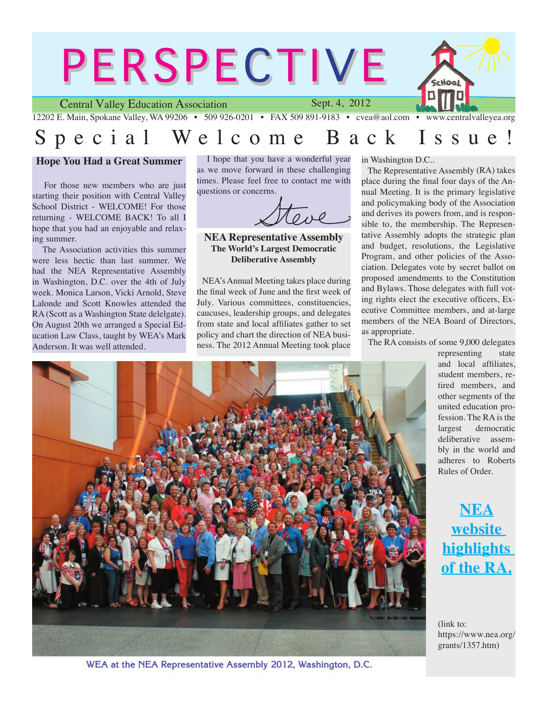

# Special Welcome Back Issue

#### **Hope You Had a Great Summer**

 For those new members who are just starting their position with Central Valley School District - WELCOME! For those returning - WELCOME BACK! To all I hope that you had an enjoyable and relaxing summer.

 The Association activities this summer were less hectic than last summer. We had the NEA Representative Assembly in Washington, D.C. over the 4th of July week. Monica Larson, Vicki Arnold, Steve Lalonde and Scott Knowles attended the RA (Scott as a Washington State delelgate). On August 20th we arranged a Special Education Law Class, taught by WEA's Mark Anderson. It was well attended.

 I hope that you have a wonderful year as we move forward in these challenging times. Please feel free to contact me with questions or concerns.

**NEA Representative Assembly The World's Largest Democratic Deliberative Assembly**

 NEA's Annual Meeting takes place during the final week of June and the first week of July. Various committees, constituencies, caucuses, leadership groups, and delegates from state and local affiliates gather to set policy and chart the direction of NEA business. The 2012 Annual Meeting took place in Washington D.C..

 The Representative Assembly (RA) takes place during the final four days of the Annual Meeting. It is the primary legislative and policymaking body of the Association and derives its powers from, and is responsible to, the membership. The Representative Assembly adopts the strategic plan and budget, resolutions, the Legislative Program, and other policies of the Association. Delegates vote by secret ballot on proposed amendments to the Constitution and Bylaws. Those delegates with full voting rights elect the executive officers, Executive Committee members, and at-large members of the NEA Board of Directors, as appropriate.

The RA consists of some 9,000 delegates

representing state and local affiliates, student members, retired members, and other segments of the united education profession. The RA is the largest democratic deliberative assembly in the world and adheres to Roberts Rules of Order.

**[NEA](https://www.nea.org/grants/1357.htm) [website](https://www.nea.org/grants/1357.htm)  [highlights](https://www.nea.org/grants/1357.htm)  [of the RA.](https://www.nea.org/grants/1357.htm)**

(link to: https://www.nea.org/ grants/1357.htm)



WEA at the NEA Representative Assembly 2012, Washington, D.C.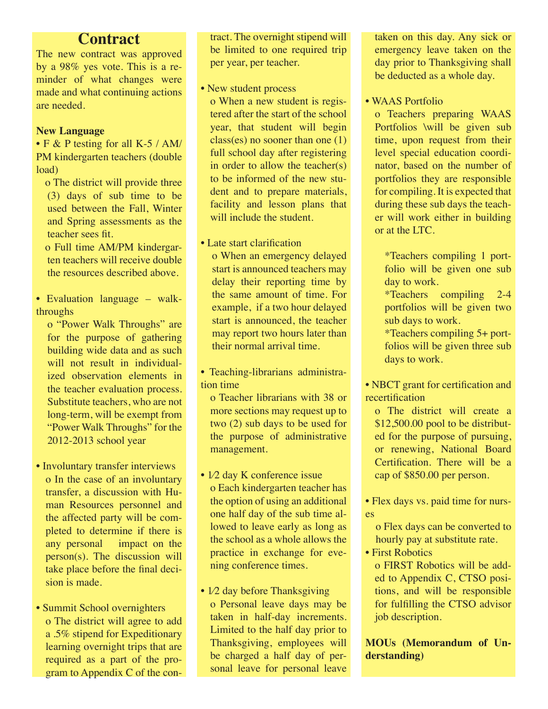# **Contract**

The new contract was approved by a 98% yes vote. This is a reminder of what changes were made and what continuing actions are needed.

## **New Language**

• F & P testing for all K-5 / AM/ PM kindergarten teachers (double load)

- o The district will provide three (3) days of sub time to be used between the Fall, Winter and Spring assessments as the teacher sees fit.
- o Full time AM/PM kindergarten teachers will receive double the resources described above.
- Evaluation language walkthroughs

o "Power Walk Throughs" are for the purpose of gathering building wide data and as such will not result in individualized observation elements in the teacher evaluation process. Substitute teachers, who are not long-term, will be exempt from "Power Walk Throughs" for the 2012-2013 school year

- Involuntary transfer interviews o In the case of an involuntary transfer, a discussion with Human Resources personnel and the affected party will be completed to determine if there is any personal impact on the person(s). The discussion will take place before the final decision is made.
- Summit School overnighters o The district will agree to add a .5% stipend for Expeditionary learning overnight trips that are required as a part of the program to Appendix C of the con-

tract. The overnight stipend will be limited to one required trip per year, per teacher.

• New student process

o When a new student is registered after the start of the school year, that student will begin class(es) no sooner than one (1) full school day after registering in order to allow the teacher(s) to be informed of the new student and to prepare materials, facility and lesson plans that will include the student.

## • Late start clarification

o When an emergency delayed start is announced teachers may delay their reporting time by the same amount of time. For example, if a two hour delayed start is announced, the teacher may report two hours later than their normal arrival time.

• Teaching-librarians administration time

o Teacher librarians with 38 or more sections may request up to two (2) sub days to be used for the purpose of administrative management.

- 1/2 day K conference issue o Each kindergarten teacher has the option of using an additional one half day of the sub time allowed to leave early as long as the school as a whole allows the practice in exchange for evening conference times.
- 1⁄2 day before Thanksgiving o Personal leave days may be taken in half-day increments. Limited to the half day prior to Thanksgiving, employees will be charged a half day of personal leave for personal leave

taken on this day. Any sick or emergency leave taken on the day prior to Thanksgiving shall be deducted as a whole day.

• WAAS Portfolio

o Teachers preparing WAAS Portfolios \will be given sub time, upon request from their level special education coordinator, based on the number of portfolios they are responsible for compiling. It is expected that during these sub days the teacher will work either in building or at the LTC.

\*Teachers compiling 1 portfolio will be given one sub day to work.

\*Teachers compiling 2-4 portfolios will be given two sub days to work.

\*Teachers compiling 5+ portfolios will be given three sub days to work.

• NBCT grant for certification and recertification

- o The district will create a \$12,500.00 pool to be distributed for the purpose of pursuing, or renewing, National Board Certification. There will be a cap of \$850.00 per person.
- Flex days vs. paid time for nurses
	- o Flex days can be converted to hourly pay at substitute rate.
- First Robotics

o FIRST Robotics will be added to Appendix C, CTSO positions, and will be responsible for fulfilling the CTSO advisor job description.

**MOUs (Memorandum of Understanding)**